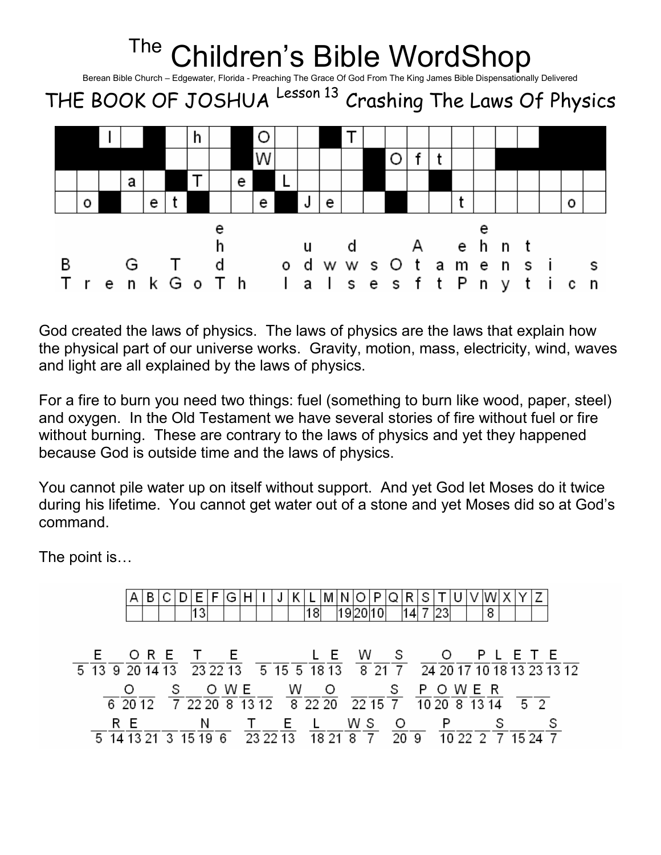

God created the laws of physics. The laws of physics are the laws that explain how the physical part of our universe works. Gravity, motion, mass, electricity, wind, waves and light are all explained by the laws of physics.

For a fire to burn you need two things: fuel (something to burn like wood, paper, steel) and oxygen. In the Old Testament we have several stories of fire without fuel or fire without burning. These are contrary to the laws of physics and yet they happened because God is outside time and the laws of physics.

You cannot pile water up on itself without support. And yet God let Moses do it twice during his lifetime. You cannot get water out of a stone and yet Moses did so at God's command.

The point is…

|   |                                                                                                                                                                   |  | ۱3                      |  |       |  | 18    |  | 192010                                                                                               |  | l14l |         |       | 8 |         |  |  |
|---|-------------------------------------------------------------------------------------------------------------------------------------------------------------------|--|-------------------------|--|-------|--|-------|--|------------------------------------------------------------------------------------------------------|--|------|---------|-------|---|---------|--|--|
|   | E ORETE LEWS OPLETE<br>5 13 9 20 14 13 23 22 13 5 15 5 18 13 8 21 7 24 20 17 10 18 13 23 13 12                                                                    |  |                         |  |       |  |       |  |                                                                                                      |  |      |         |       |   |         |  |  |
|   | $\overline{6}$ 20 12 $\overline{7}$ 22 20 $\overline{8}$ 13 12 $\overline{8}$ 22 20 $\overline{22}$ 15 $\overline{7}$ 10 20 $\overline{8}$ 13 14 $\overline{5}$ 2 |  |                         |  | O W E |  | W O   |  |                                                                                                      |  |      | S POWER |       |   |         |  |  |
| 5 | R E<br>14 13 21                                                                                                                                                   |  | N<br>3 15 19 6 23 22 13 |  |       |  | T E L |  | WS O<br>$\overline{18}$ $\overline{21}$ $\overline{8}$ $\overline{7}$ $\overline{20}$ $\overline{9}$ |  |      |         | 10222 |   | 15 24 7 |  |  |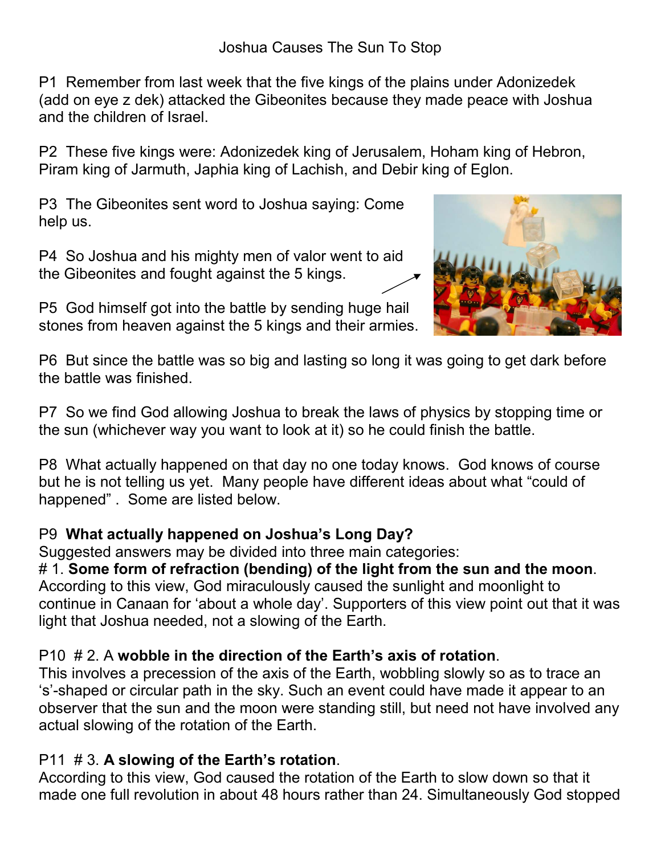P1 Remember from last week that the five kings of the plains under Adonizedek (add on eye z dek) attacked the Gibeonites because they made peace with Joshua and the children of Israel.

P2 These five kings were: Adonizedek king of Jerusalem, Hoham king of Hebron, Piram king of Jarmuth, Japhia king of Lachish, and Debir king of Eglon.

P3 The Gibeonites sent word to Joshua saying: Come help us.

P4 So Joshua and his mighty men of valor went to aid the Gibeonites and fought against the 5 kings.

P5 God himself got into the battle by sending huge hail stones from heaven against the 5 kings and their armies.



P6 But since the battle was so big and lasting so long it was going to get dark before the battle was finished.

P7 So we find God allowing Joshua to break the laws of physics by stopping time or the sun (whichever way you want to look at it) so he could finish the battle.

P8 What actually happened on that day no one today knows. God knows of course but he is not telling us yet. Many people have different ideas about what "could of happened" . Some are listed below.

## P9 What actually happened on Joshua's Long Day?

Suggested answers may be divided into three main categories:

# 1. Some form of refraction (bending) of the light from the sun and the moon. According to this view, God miraculously caused the sunlight and moonlight to continue in Canaan for 'about a whole day'. Supporters of this view point out that it was

light that Joshua needed, not a slowing of the Earth.

## P10 # 2. A wobble in the direction of the Earth's axis of rotation.

This involves a precession of the axis of the Earth, wobbling slowly so as to trace an 's'-shaped or circular path in the sky. Such an event could have made it appear to an observer that the sun and the moon were standing still, but need not have involved any actual slowing of the rotation of the Earth.

## P11 # 3. A slowing of the Earth's rotation.

According to this view, God caused the rotation of the Earth to slow down so that it made one full revolution in about 48 hours rather than 24. Simultaneously God stopped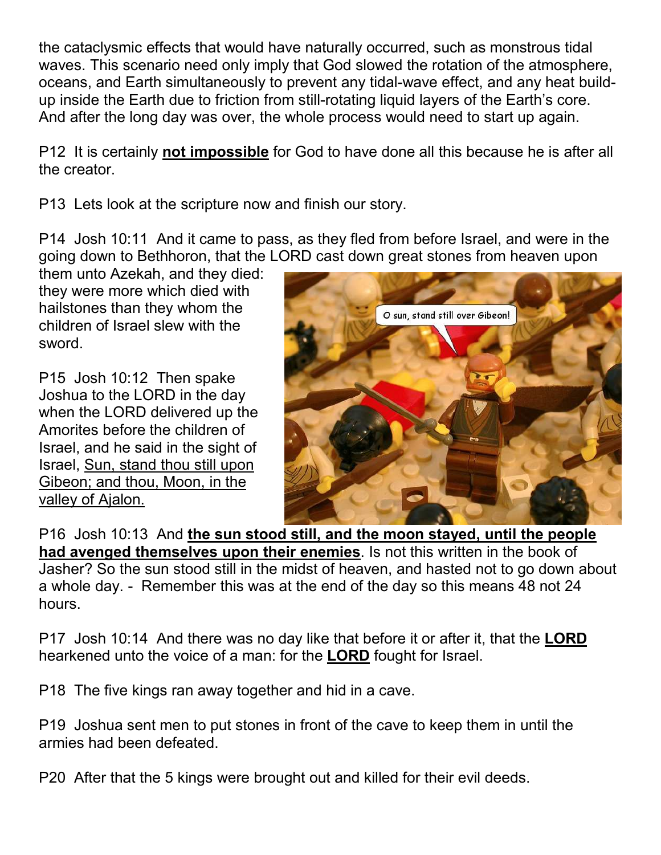the cataclysmic effects that would have naturally occurred, such as monstrous tidal waves. This scenario need only imply that God slowed the rotation of the atmosphere, oceans, and Earth simultaneously to prevent any tidal-wave effect, and any heat buildup inside the Earth due to friction from still-rotating liquid layers of the Earth's core. And after the long day was over, the whole process would need to start up again.

P12 It is certainly not impossible for God to have done all this because he is after all the creator.

P13 Lets look at the scripture now and finish our story.

P14 Josh 10:11 And it came to pass, as they fled from before Israel, and were in the going down to Bethhoron, that the LORD cast down great stones from heaven upon

them unto Azekah, and they died: they were more which died with hailstones than they whom the children of Israel slew with the sword.

P15 Josh 10:12 Then spake Joshua to the LORD in the day when the LORD delivered up the Amorites before the children of Israel, and he said in the sight of Israel, Sun, stand thou still upon Gibeon; and thou, Moon, in the valley of Ajalon.



P16 Josh 10:13 And the sun stood still, and the moon stayed, until the people had avenged themselves upon their enemies. Is not this written in the book of Jasher? So the sun stood still in the midst of heaven, and hasted not to go down about a whole day. - Remember this was at the end of the day so this means 48 not 24 hours.

P17 Josh 10:14 And there was no day like that before it or after it, that the LORD hearkened unto the voice of a man: for the LORD fought for Israel.

P18 The five kings ran away together and hid in a cave.

P19 Joshua sent men to put stones in front of the cave to keep them in until the armies had been defeated.

P20 After that the 5 kings were brought out and killed for their evil deeds.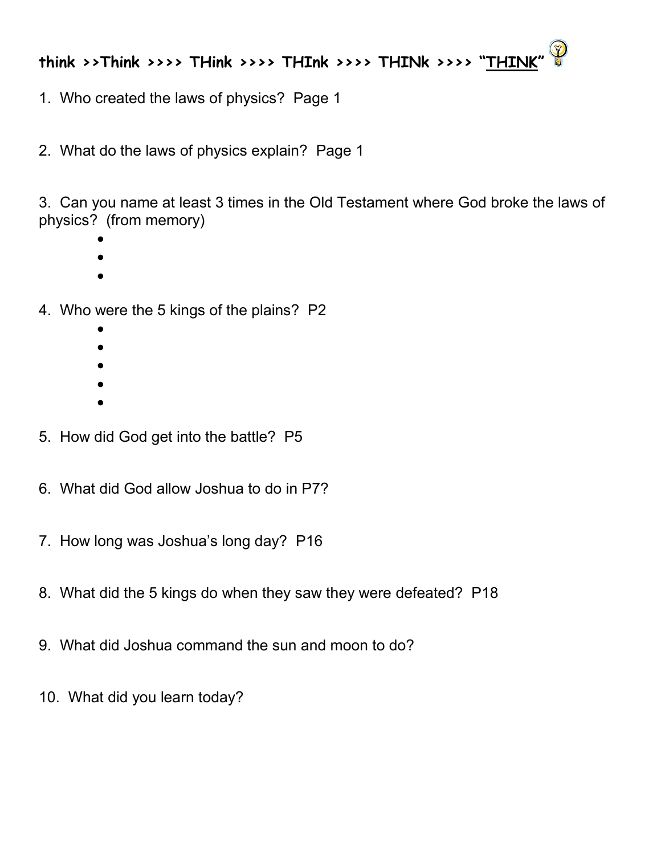## think >>Think >>>> THink >>>> THInk >>>> THINk >>>> "THINK"

1. Who created the laws of physics? Page 1

2. What do the laws of physics explain? Page 1

3. Can you name at least 3 times in the Old Testament where God broke the laws of physics? (from memory)

- •
- •
- 4. Who were the 5 kings of the plains? P2
	- •
	- •
	- •
	- •
	- •
- 5. How did God get into the battle? P5
- 6. What did God allow Joshua to do in P7?
- 7. How long was Joshua's long day? P16
- 8. What did the 5 kings do when they saw they were defeated? P18
- 9. What did Joshua command the sun and moon to do?
- 10. What did you learn today?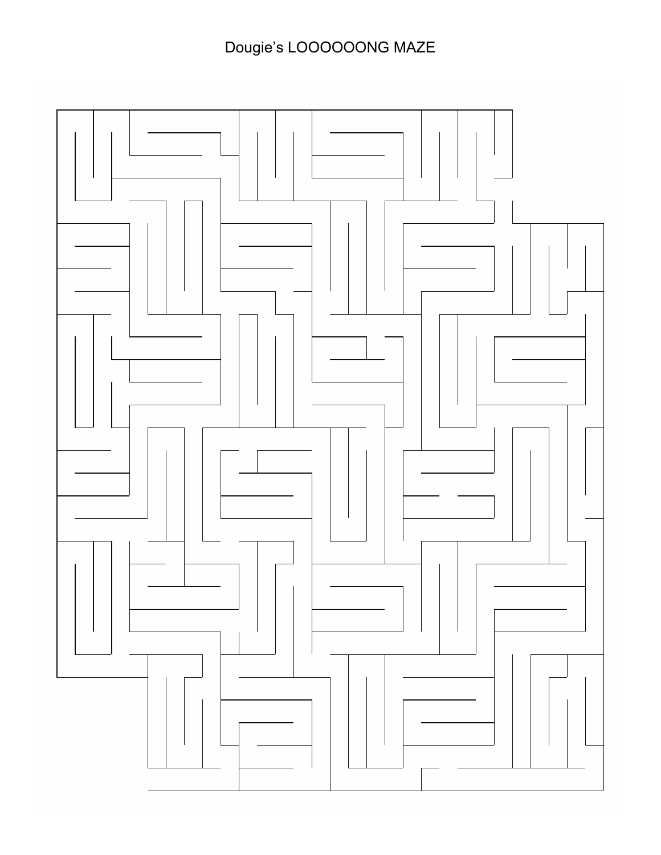